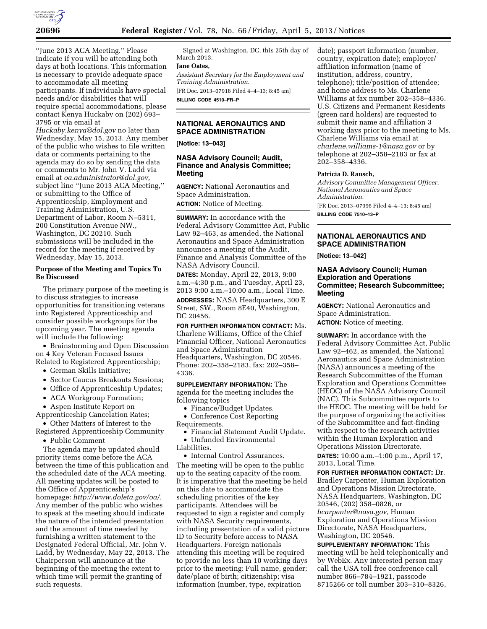

''June 2013 ACA Meeting.'' Please indicate if you will be attending both days at both locations. This information is necessary to provide adequate space to accommodate all meeting participants. If individuals have special needs and/or disabilities that will require special accommodations, please contact Kenya Huckaby on (202) 693– 3795 or via email at

*[Huckaby.kenya@dol.gov](mailto:Huckaby.kenya@dol.gov)* no later than Wednesday, May 15, 2013. Any member of the public who wishes to file written data or comments pertaining to the agenda may do so by sending the data or comments to Mr. John V. Ladd via email at *[oa.administrator@dol.gov,](mailto:oa.administrator@dol.gov)*  subject line ''June 2013 ACA Meeting,'' or submitting to the Office of Apprenticeship, Employment and Training Administration, U.S. Department of Labor, Room N–5311, 200 Constitution Avenue NW., Washington, DC 20210. Such submissions will be included in the record for the meeting if received by Wednesday, May 15, 2013.

### **Purpose of the Meeting and Topics To Be Discussed**

The primary purpose of the meeting is to discuss strategies to increase opportunities for transitioning veterans into Registered Apprenticeship and consider possible workgroups for the upcoming year. The meeting agenda will include the following:

• Brainstorming and Open Discussion on 4 Key Veteran Focused Issues Related to Registered Apprenticeship;

- German Skills Initiative;
- Sector Caucus Breakouts Sessions;
- Office of Apprenticeship Updates;
- ACA Workgroup Formation;
- Aspen Institute Report on

Apprenticeship Cancelation Rates;

• Other Matters of Interest to the Registered Apprenticeship Community

• Public Comment

The agenda may be updated should priority items come before the ACA between the time of this publication and the scheduled date of the ACA meeting. All meeting updates will be posted to the Office of Apprenticeship's homepage: *[http://www.doleta.gov/oa/.](http://www.doleta.gov/oa/)*  Any member of the public who wishes to speak at the meeting should indicate the nature of the intended presentation and the amount of time needed by furnishing a written statement to the Designated Federal Official, Mr. John V. Ladd, by Wednesday, May 22, 2013. The Chairperson will announce at the beginning of the meeting the extent to which time will permit the granting of such requests.

Signed at Washington, DC, this 25th day of March 2013.

### **Jane Oates,**

*Assistant Secretary for the Employment and Training Administration.* 

[FR Doc. 2013–07918 Filed 4–4–13; 8:45 am] **BILLING CODE 4510–FR–P** 

#### **NATIONAL AERONAUTICS AND SPACE ADMINISTRATION**

**[Notice: 13–043]** 

### **NASA Advisory Council; Audit, Finance and Analysis Committee; Meeting**

**AGENCY:** National Aeronautics and Space Administration.

**ACTION:** Notice of Meeting.

**SUMMARY:** In accordance with the Federal Advisory Committee Act, Public Law 92–463, as amended, the National Aeronautics and Space Administration announces a meeting of the Audit, Finance and Analysis Committee of the NASA Advisory Council.

**DATES:** Monday, April 22, 2013, 9:00 a.m.–4:30 p.m., and Tuesday, April 23, 2013 9:00 a.m.–10:00 a.m., Local Time. **ADDRESSES:** NASA Headquarters, 300 E Street, SW., Room 8E40, Washington, DC 20456.

**FOR FURTHER INFORMATION CONTACT:** Ms. Charlene Williams, Office of the Chief Financial Officer, National Aeronautics and Space Administration Headquarters, Washington, DC 20546. Phone: 202–358–2183, fax: 202–358– 4336.

**SUPPLEMENTARY INFORMATION:** The agenda for the meeting includes the following topics

• Finance/Budget Updates.

• Conference Cost Reporting Requirements.

- Financial Statement Audit Update. • Unfunded Environmental
- Liabilities.

• Internal Control Assurances.

The meeting will be open to the public up to the seating capacity of the room. It is imperative that the meeting be held on this date to accommodate the scheduling priorities of the key participants. Attendees will be requested to sign a register and comply with NASA Security requirements, including presentation of a valid picture ID to Security before access to NASA Headquarters. Foreign nationals attending this meeting will be required to provide no less than 10 working days prior to the meeting: Full name, gender; date/place of birth; citizenship; visa information (number, type, expiration

date); passport information (number, country, expiration date); employer/ affiliation information (name of institution, address, country, telephone); title/position of attendee; and home address to Ms. Charlene Williams at fax number 202–358–4336. U.S. Citizens and Permanent Residents (green card holders) are requested to submit their name and affiliation 3 working days prior to the meeting to Ms. Charlene Williams via email at *[charlene.williams-1@nasa.gov](mailto:charlene.williams-1@nasa.gov)* or by telephone at 202–358–2183 or fax at 202–358–4336.

### **Patricia D. Rausch,**

*Advisory Committee Management Officer, National Aeronautics and Space Administration.* 

[FR Doc. 2013–07996 Filed 4–4–13; 8:45 am] **BILLING CODE 7510–13–P** 

### **NATIONAL AERONAUTICS AND SPACE ADMINISTRATION**

**[Notice: 13–042]** 

### **NASA Advisory Council; Human Exploration and Operations Committee; Research Subcommittee; Meeting**

**AGENCY:** National Aeronautics and Space Administration. **ACTION:** Notice of meeting.

**SUMMARY:** In accordance with the Federal Advisory Committee Act, Public Law 92–462, as amended, the National Aeronautics and Space Administration (NASA) announces a meeting of the Research Subcommittee of the Human Exploration and Operations Committee (HEOC) of the NASA Advisory Council (NAC). This Subcommittee reports to the HEOC. The meeting will be held for the purpose of organizing the activities of the Subcommittee and fact-finding with respect to the research activities within the Human Exploration and Operations Mission Directorate.

**DATES:** 10:00 a.m.–1:00 p.m., April 17, 2013, Local Time.

**FOR FURTHER INFORMATION CONTACT:** Dr. Bradley Carpenter, Human Exploration and Operations Mission Directorate, NASA Headquarters, Washington, DC 20546, (202) 358–0826, or *[bcarpenter@nasa.gov,](mailto:bcarpenter@nasa.gov)* Human Exploration and Operations Mission Directorate, NASA Headquarters, Washington, DC 20546.

**SUPPLEMENTARY INFORMATION:** This meeting will be held telephonically and by WebEx. Any interested person may call the USA toll free conference call number 866–784–1921, passcode 8715266 or toll number 203–310–8326,